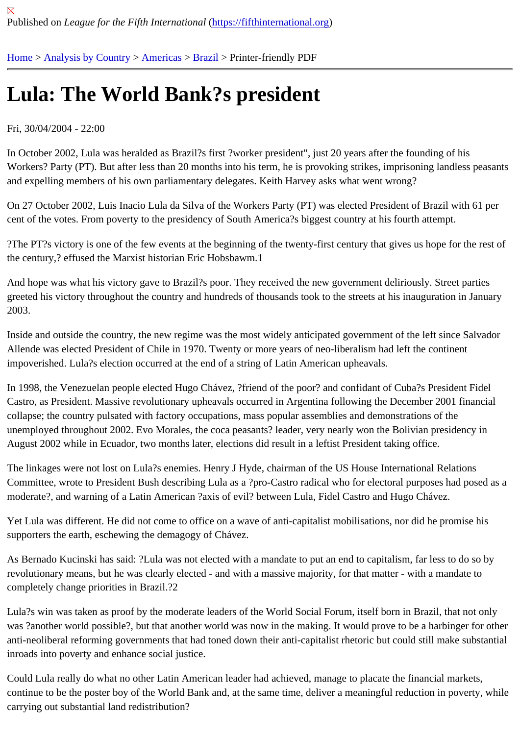# [Lul](https://fifthinternational.org/)[a: The Wo](https://fifthinternational.org/category/1)r[ld Ba](https://fifthinternational.org/category/1/56)[nk?](https://fifthinternational.org/category/1/56/62)s president

## Fri, 30/04/2004 - 22:00

In October 2002, Lula was heralded as Brazil?s first ?worker president", just 20 years after the founding of his Workers? Party (PT). But after less than 20 months into his term, he is provoking strikes, imprisoning landless pea and expelling members of his own parliamentary delegates. Keith Harvey asks what went wrong?

On 27 October 2002, Luis Inacio Lula da Silva of the Workers Party (PT) was elected President of Brazil with 61 p cent of the votes. From poverty to the presidency of South America?s biggest country at his fourth attempt.

?The PT?s victory is one of the few events at the beginning of the twenty-first century that gives us hope for the re the century,? effused the Marxist historian Eric Hobsbawm.1

And hope was what his victory gave to Brazil?s poor. They received the new government deliriously. Street parties greeted his victory throughout the country and hundreds of thousands took to the streets at his inauguration in Jan 2003.

Inside and outside the country, the new regime was the most widely anticipated government of the left since Salva Allende was elected President of Chile in 1970. Twenty or more years of neo-liberalism had left the continent impoverished. Lula?s election occurred at the end of a string of Latin American upheavals.

In 1998, the Venezuelan people elected Hugo Chávez, ?friend of the poor? and confidant of Cuba?s President Fic Castro, as President. Massive revolutionary upheavals occurred in Argentina following the December 2001 financi collapse; the country pulsated with factory occupations, mass popular assemblies and demonstrations of the unemployed throughout 2002. Evo Morales, the coca peasants? leader, very nearly won the Bolivian presidency ir August 2002 while in Ecuador, two months later, elections did result in a leftist President taking office.

The linkages were not lost on Lula?s enemies. Henry J Hyde, chairman of the US House International Relations Committee, wrote to President Bush describing Lula as a ?pro-Castro radical who for electoral purposes had pose moderate?, and warning of a Latin American ?axis of evil? between Lula, Fidel Castro and Hugo Chávez.

Yet Lula was different. He did not come to office on a wave of anti-capitalist mobilisations, nor did he promise his supporters the earth, eschewing the demagogy of Chávez.

As Bernado Kucinski has said: ?Lula was not elected with a mandate to put an end to capitalism, far less to do so revolutionary means, but he was clearly elected - and with a massive majority, for that matter - with a mandate to completely change priorities in Brazil.?2

Lula?s win was taken as proof by the moderate leaders of the World Social Forum, itself born in Brazil, that not on was ?another world possible?, but that another world was now in the making. It would prove to be a harbinger for anti-neoliberal reforming governments that had toned down their anti-capitalist rhetoric but could still make substai inroads into poverty and enhance social justice.

Could Lula really do what no other Latin American leader had achieved, manage to placate the financial markets, continue to be the poster boy of the World Bank and, at the same time, deliver a meaningful reduction in poverty, w carrying out substantial land redistribution?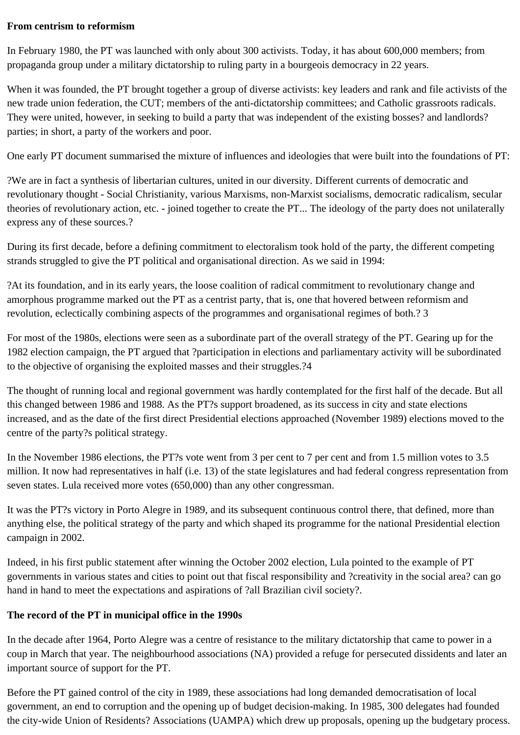#### **From centrism to reformism**

In February 1980, the PT was launched with only about 300 activists. Today, it has about 600,000 members; from propaganda group under a military dictatorship to ruling party in a bourgeois democracy in 22 years.

When it was founded, the PT brought together a group of diverse activists: key leaders and rank and file activists of the new trade union federation, the CUT; members of the anti-dictatorship committees; and Catholic grassroots radicals. They were united, however, in seeking to build a party that was independent of the existing bosses? and landlords? parties; in short, a party of the workers and poor.

One early PT document summarised the mixture of influences and ideologies that were built into the foundations of PT:

?We are in fact a synthesis of libertarian cultures, united in our diversity. Different currents of democratic and revolutionary thought - Social Christianity, various Marxisms, non-Marxist socialisms, democratic radicalism, secular theories of revolutionary action, etc. - joined together to create the PT... The ideology of the party does not unilaterally express any of these sources.?

During its first decade, before a defining commitment to electoralism took hold of the party, the different competing strands struggled to give the PT political and organisational direction. As we said in 1994:

?At its foundation, and in its early years, the loose coalition of radical commitment to revolutionary change and amorphous programme marked out the PT as a centrist party, that is, one that hovered between reformism and revolution, eclectically combining aspects of the programmes and organisational regimes of both.? 3

For most of the 1980s, elections were seen as a subordinate part of the overall strategy of the PT. Gearing up for the 1982 election campaign, the PT argued that ?participation in elections and parliamentary activity will be subordinated to the objective of organising the exploited masses and their struggles.?4

The thought of running local and regional government was hardly contemplated for the first half of the decade. But all this changed between 1986 and 1988. As the PT?s support broadened, as its success in city and state elections increased, and as the date of the first direct Presidential elections approached (November 1989) elections moved to the centre of the party?s political strategy.

In the November 1986 elections, the PT?s vote went from 3 per cent to 7 per cent and from 1.5 million votes to 3.5 million. It now had representatives in half (i.e. 13) of the state legislatures and had federal congress representation from seven states. Lula received more votes (650,000) than any other congressman.

It was the PT?s victory in Porto Alegre in 1989, and its subsequent continuous control there, that defined, more than anything else, the political strategy of the party and which shaped its programme for the national Presidential election campaign in 2002.

Indeed, in his first public statement after winning the October 2002 election, Lula pointed to the example of PT governments in various states and cities to point out that fiscal responsibility and ?creativity in the social area? can go hand in hand to meet the expectations and aspirations of ?all Brazilian civil society?.

# **The record of the PT in municipal office in the 1990s**

In the decade after 1964, Porto Alegre was a centre of resistance to the military dictatorship that came to power in a coup in March that year. The neighbourhood associations (NA) provided a refuge for persecuted dissidents and later an important source of support for the PT.

Before the PT gained control of the city in 1989, these associations had long demanded democratisation of local government, an end to corruption and the opening up of budget decision-making. In 1985, 300 delegates had founded the city-wide Union of Residents? Associations (UAMPA) which drew up proposals, opening up the budgetary process.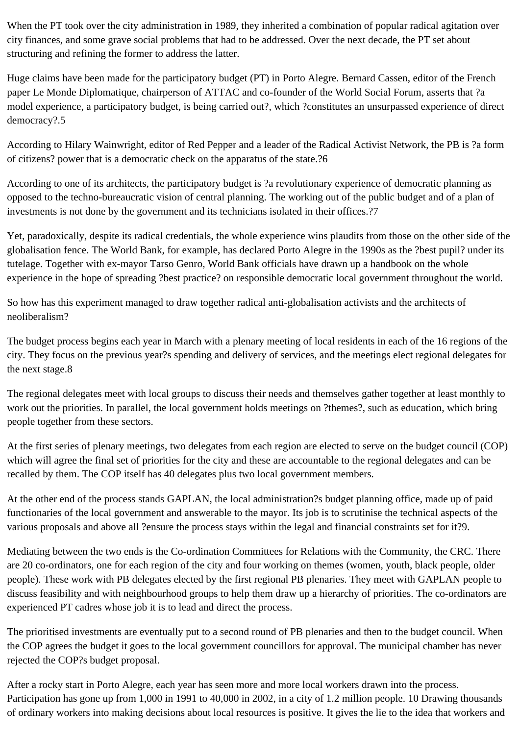When the PT took over the city administration in 1989, they inherited a combination of popular radical agitation over city finances, and some grave social problems that had to be addressed. Over the next decade, the PT set about structuring and refining the former to address the latter.

Huge claims have been made for the participatory budget (PT) in Porto Alegre. Bernard Cassen, editor of the French paper Le Monde Diplomatique, chairperson of ATTAC and co-founder of the World Social Forum, asserts that ?a model experience, a participatory budget, is being carried out?, which ?constitutes an unsurpassed experience of direct democracy?.5

According to Hilary Wainwright, editor of Red Pepper and a leader of the Radical Activist Network, the PB is ?a form of citizens? power that is a democratic check on the apparatus of the state.?6

According to one of its architects, the participatory budget is ?a revolutionary experience of democratic planning as opposed to the techno-bureaucratic vision of central planning. The working out of the public budget and of a plan of investments is not done by the government and its technicians isolated in their offices.?7

Yet, paradoxically, despite its radical credentials, the whole experience wins plaudits from those on the other side of the globalisation fence. The World Bank, for example, has declared Porto Alegre in the 1990s as the ?best pupil? under its tutelage. Together with ex-mayor Tarso Genro, World Bank officials have drawn up a handbook on the whole experience in the hope of spreading ?best practice? on responsible democratic local government throughout the world.

So how has this experiment managed to draw together radical anti-globalisation activists and the architects of neoliberalism?

The budget process begins each year in March with a plenary meeting of local residents in each of the 16 regions of the city. They focus on the previous year?s spending and delivery of services, and the meetings elect regional delegates for the next stage.8

The regional delegates meet with local groups to discuss their needs and themselves gather together at least monthly to work out the priorities. In parallel, the local government holds meetings on ?themes?, such as education, which bring people together from these sectors.

At the first series of plenary meetings, two delegates from each region are elected to serve on the budget council (COP) which will agree the final set of priorities for the city and these are accountable to the regional delegates and can be recalled by them. The COP itself has 40 delegates plus two local government members.

At the other end of the process stands GAPLAN, the local administration?s budget planning office, made up of paid functionaries of the local government and answerable to the mayor. Its job is to scrutinise the technical aspects of the various proposals and above all ?ensure the process stays within the legal and financial constraints set for it?9.

Mediating between the two ends is the Co-ordination Committees for Relations with the Community, the CRC. There are 20 co-ordinators, one for each region of the city and four working on themes (women, youth, black people, older people). These work with PB delegates elected by the first regional PB plenaries. They meet with GAPLAN people to discuss feasibility and with neighbourhood groups to help them draw up a hierarchy of priorities. The co-ordinators are experienced PT cadres whose job it is to lead and direct the process.

The prioritised investments are eventually put to a second round of PB plenaries and then to the budget council. When the COP agrees the budget it goes to the local government councillors for approval. The municipal chamber has never rejected the COP?s budget proposal.

After a rocky start in Porto Alegre, each year has seen more and more local workers drawn into the process. Participation has gone up from 1,000 in 1991 to 40,000 in 2002, in a city of 1.2 million people. 10 Drawing thousands of ordinary workers into making decisions about local resources is positive. It gives the lie to the idea that workers and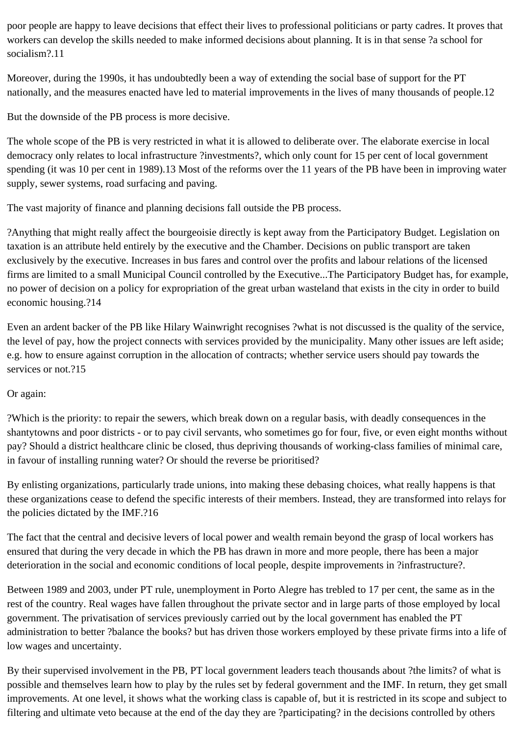poor people are happy to leave decisions that effect their lives to professional politicians or party cadres. It proves that workers can develop the skills needed to make informed decisions about planning. It is in that sense ?a school for socialism?.11

Moreover, during the 1990s, it has undoubtedly been a way of extending the social base of support for the PT nationally, and the measures enacted have led to material improvements in the lives of many thousands of people.12

But the downside of the PB process is more decisive.

The whole scope of the PB is very restricted in what it is allowed to deliberate over. The elaborate exercise in local democracy only relates to local infrastructure ?investments?, which only count for 15 per cent of local government spending (it was 10 per cent in 1989).13 Most of the reforms over the 11 years of the PB have been in improving water supply, sewer systems, road surfacing and paving.

The vast majority of finance and planning decisions fall outside the PB process.

?Anything that might really affect the bourgeoisie directly is kept away from the Participatory Budget. Legislation on taxation is an attribute held entirely by the executive and the Chamber. Decisions on public transport are taken exclusively by the executive. Increases in bus fares and control over the profits and labour relations of the licensed firms are limited to a small Municipal Council controlled by the Executive...The Participatory Budget has, for example, no power of decision on a policy for expropriation of the great urban wasteland that exists in the city in order to build economic housing.?14

Even an ardent backer of the PB like Hilary Wainwright recognises ?what is not discussed is the quality of the service, the level of pay, how the project connects with services provided by the municipality. Many other issues are left aside; e.g. how to ensure against corruption in the allocation of contracts; whether service users should pay towards the services or not. 215

# Or again:

?Which is the priority: to repair the sewers, which break down on a regular basis, with deadly consequences in the shantytowns and poor districts - or to pay civil servants, who sometimes go for four, five, or even eight months without pay? Should a district healthcare clinic be closed, thus depriving thousands of working-class families of minimal care, in favour of installing running water? Or should the reverse be prioritised?

By enlisting organizations, particularly trade unions, into making these debasing choices, what really happens is that these organizations cease to defend the specific interests of their members. Instead, they are transformed into relays for the policies dictated by the IMF.?16

The fact that the central and decisive levers of local power and wealth remain beyond the grasp of local workers has ensured that during the very decade in which the PB has drawn in more and more people, there has been a major deterioration in the social and economic conditions of local people, despite improvements in ?infrastructure?.

Between 1989 and 2003, under PT rule, unemployment in Porto Alegre has trebled to 17 per cent, the same as in the rest of the country. Real wages have fallen throughout the private sector and in large parts of those employed by local government. The privatisation of services previously carried out by the local government has enabled the PT administration to better ?balance the books? but has driven those workers employed by these private firms into a life of low wages and uncertainty.

By their supervised involvement in the PB, PT local government leaders teach thousands about ?the limits? of what is possible and themselves learn how to play by the rules set by federal government and the IMF. In return, they get small improvements. At one level, it shows what the working class is capable of, but it is restricted in its scope and subject to filtering and ultimate veto because at the end of the day they are ?participating? in the decisions controlled by others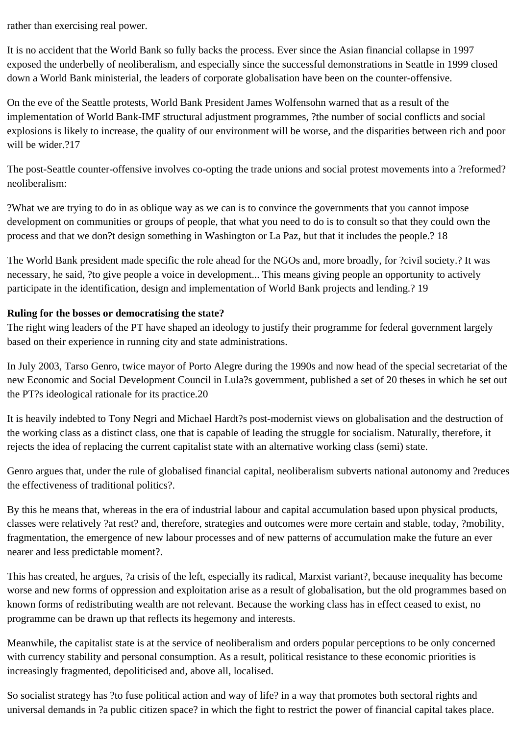rather than exercising real power.

It is no accident that the World Bank so fully backs the process. Ever since the Asian financial collapse in 1997 exposed the underbelly of neoliberalism, and especially since the successful demonstrations in Seattle in 1999 closed down a World Bank ministerial, the leaders of corporate globalisation have been on the counter-offensive.

On the eve of the Seattle protests, World Bank President James Wolfensohn warned that as a result of the implementation of World Bank-IMF structural adjustment programmes, ?the number of social conflicts and social explosions is likely to increase, the quality of our environment will be worse, and the disparities between rich and poor will be wider.?17

The post-Seattle counter-offensive involves co-opting the trade unions and social protest movements into a ?reformed? neoliberalism:

?What we are trying to do in as oblique way as we can is to convince the governments that you cannot impose development on communities or groups of people, that what you need to do is to consult so that they could own the process and that we don?t design something in Washington or La Paz, but that it includes the people.? 18

The World Bank president made specific the role ahead for the NGOs and, more broadly, for ?civil society.? It was necessary, he said, ?to give people a voice in development... This means giving people an opportunity to actively participate in the identification, design and implementation of World Bank projects and lending.? 19

# **Ruling for the bosses or democratising the state?**

The right wing leaders of the PT have shaped an ideology to justify their programme for federal government largely based on their experience in running city and state administrations.

In July 2003, Tarso Genro, twice mayor of Porto Alegre during the 1990s and now head of the special secretariat of the new Economic and Social Development Council in Lula?s government, published a set of 20 theses in which he set out the PT?s ideological rationale for its practice.20

It is heavily indebted to Tony Negri and Michael Hardt?s post-modernist views on globalisation and the destruction of the working class as a distinct class, one that is capable of leading the struggle for socialism. Naturally, therefore, it rejects the idea of replacing the current capitalist state with an alternative working class (semi) state.

Genro argues that, under the rule of globalised financial capital, neoliberalism subverts national autonomy and ?reduces the effectiveness of traditional politics?.

By this he means that, whereas in the era of industrial labour and capital accumulation based upon physical products, classes were relatively ?at rest? and, therefore, strategies and outcomes were more certain and stable, today, ?mobility, fragmentation, the emergence of new labour processes and of new patterns of accumulation make the future an ever nearer and less predictable moment?.

This has created, he argues, ?a crisis of the left, especially its radical, Marxist variant?, because inequality has become worse and new forms of oppression and exploitation arise as a result of globalisation, but the old programmes based on known forms of redistributing wealth are not relevant. Because the working class has in effect ceased to exist, no programme can be drawn up that reflects its hegemony and interests.

Meanwhile, the capitalist state is at the service of neoliberalism and orders popular perceptions to be only concerned with currency stability and personal consumption. As a result, political resistance to these economic priorities is increasingly fragmented, depoliticised and, above all, localised.

So socialist strategy has ?to fuse political action and way of life? in a way that promotes both sectoral rights and universal demands in ?a public citizen space? in which the fight to restrict the power of financial capital takes place.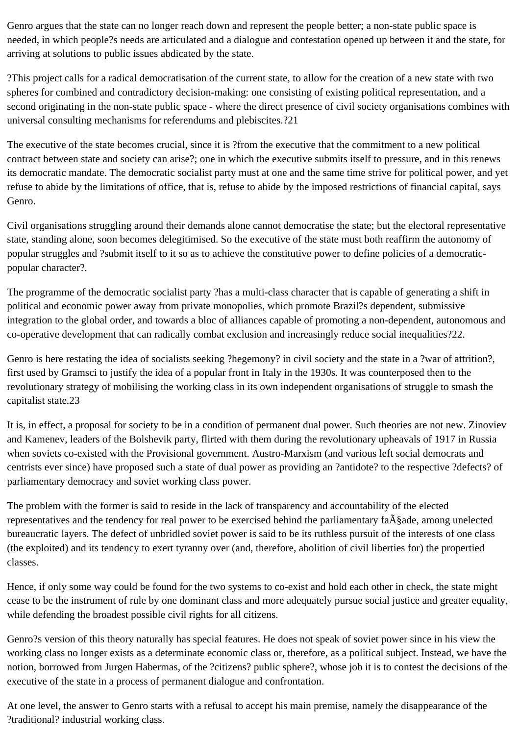Genro argues that the state can no longer reach down and represent the people better; a non-state public space is needed, in which people?s needs are articulated and a dialogue and contestation opened up between it and the state, for arriving at solutions to public issues abdicated by the state.

?This project calls for a radical democratisation of the current state, to allow for the creation of a new state with two spheres for combined and contradictory decision-making: one consisting of existing political representation, and a second originating in the non-state public space - where the direct presence of civil society organisations combines with universal consulting mechanisms for referendums and plebiscites.?21

The executive of the state becomes crucial, since it is ?from the executive that the commitment to a new political contract between state and society can arise?; one in which the executive submits itself to pressure, and in this renews its democratic mandate. The democratic socialist party must at one and the same time strive for political power, and yet refuse to abide by the limitations of office, that is, refuse to abide by the imposed restrictions of financial capital, says Genro.

Civil organisations struggling around their demands alone cannot democratise the state; but the electoral representative state, standing alone, soon becomes delegitimised. So the executive of the state must both reaffirm the autonomy of popular struggles and ?submit itself to it so as to achieve the constitutive power to define policies of a democraticpopular character?.

The programme of the democratic socialist party ?has a multi-class character that is capable of generating a shift in political and economic power away from private monopolies, which promote Brazil?s dependent, submissive integration to the global order, and towards a bloc of alliances capable of promoting a non-dependent, autonomous and co-operative development that can radically combat exclusion and increasingly reduce social inequalities?22.

Genro is here restating the idea of socialists seeking ?hegemony? in civil society and the state in a ?war of attrition?, first used by Gramsci to justify the idea of a popular front in Italy in the 1930s. It was counterposed then to the revolutionary strategy of mobilising the working class in its own independent organisations of struggle to smash the capitalist state.23

It is, in effect, a proposal for society to be in a condition of permanent dual power. Such theories are not new. Zinoviev and Kamenev, leaders of the Bolshevik party, flirted with them during the revolutionary upheavals of 1917 in Russia when soviets co-existed with the Provisional government. Austro-Marxism (and various left social democrats and centrists ever since) have proposed such a state of dual power as providing an ?antidote? to the respective ?defects? of parliamentary democracy and soviet working class power.

The problem with the former is said to reside in the lack of transparency and accountability of the elected representatives and the tendency for real power to be exercised behind the parliamentary fa $\tilde{A} \$ ade, among unelected bureaucratic layers. The defect of unbridled soviet power is said to be its ruthless pursuit of the interests of one class (the exploited) and its tendency to exert tyranny over (and, therefore, abolition of civil liberties for) the propertied classes.

Hence, if only some way could be found for the two systems to co-exist and hold each other in check, the state might cease to be the instrument of rule by one dominant class and more adequately pursue social justice and greater equality, while defending the broadest possible civil rights for all citizens.

Genro?s version of this theory naturally has special features. He does not speak of soviet power since in his view the working class no longer exists as a determinate economic class or, therefore, as a political subject. Instead, we have the notion, borrowed from Jurgen Habermas, of the ?citizens? public sphere?, whose job it is to contest the decisions of the executive of the state in a process of permanent dialogue and confrontation.

At one level, the answer to Genro starts with a refusal to accept his main premise, namely the disappearance of the ?traditional? industrial working class.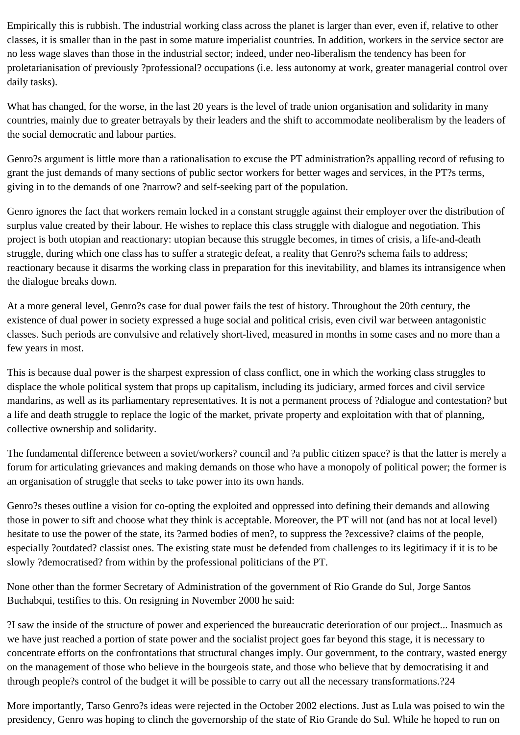Empirically this is rubbish. The industrial working class across the planet is larger than ever, even if, relative to other classes, it is smaller than in the past in some mature imperialist countries. In addition, workers in the service sector are no less wage slaves than those in the industrial sector; indeed, under neo-liberalism the tendency has been for proletarianisation of previously ?professional? occupations (i.e. less autonomy at work, greater managerial control over daily tasks).

What has changed, for the worse, in the last 20 years is the level of trade union organisation and solidarity in many countries, mainly due to greater betrayals by their leaders and the shift to accommodate neoliberalism by the leaders of the social democratic and labour parties.

Genro?s argument is little more than a rationalisation to excuse the PT administration?s appalling record of refusing to grant the just demands of many sections of public sector workers for better wages and services, in the PT?s terms, giving in to the demands of one ?narrow? and self-seeking part of the population.

Genro ignores the fact that workers remain locked in a constant struggle against their employer over the distribution of surplus value created by their labour. He wishes to replace this class struggle with dialogue and negotiation. This project is both utopian and reactionary: utopian because this struggle becomes, in times of crisis, a life-and-death struggle, during which one class has to suffer a strategic defeat, a reality that Genro?s schema fails to address; reactionary because it disarms the working class in preparation for this inevitability, and blames its intransigence when the dialogue breaks down.

At a more general level, Genro?s case for dual power fails the test of history. Throughout the 20th century, the existence of dual power in society expressed a huge social and political crisis, even civil war between antagonistic classes. Such periods are convulsive and relatively short-lived, measured in months in some cases and no more than a few years in most.

This is because dual power is the sharpest expression of class conflict, one in which the working class struggles to displace the whole political system that props up capitalism, including its judiciary, armed forces and civil service mandarins, as well as its parliamentary representatives. It is not a permanent process of ?dialogue and contestation? but a life and death struggle to replace the logic of the market, private property and exploitation with that of planning, collective ownership and solidarity.

The fundamental difference between a soviet/workers? council and ?a public citizen space? is that the latter is merely a forum for articulating grievances and making demands on those who have a monopoly of political power; the former is an organisation of struggle that seeks to take power into its own hands.

Genro?s theses outline a vision for co-opting the exploited and oppressed into defining their demands and allowing those in power to sift and choose what they think is acceptable. Moreover, the PT will not (and has not at local level) hesitate to use the power of the state, its ?armed bodies of men?, to suppress the ?excessive? claims of the people, especially ?outdated? classist ones. The existing state must be defended from challenges to its legitimacy if it is to be slowly ?democratised? from within by the professional politicians of the PT.

None other than the former Secretary of Administration of the government of Rio Grande do Sul, Jorge Santos Buchabqui, testifies to this. On resigning in November 2000 he said:

?I saw the inside of the structure of power and experienced the bureaucratic deterioration of our project... Inasmuch as we have just reached a portion of state power and the socialist project goes far beyond this stage, it is necessary to concentrate efforts on the confrontations that structural changes imply. Our government, to the contrary, wasted energy on the management of those who believe in the bourgeois state, and those who believe that by democratising it and through people?s control of the budget it will be possible to carry out all the necessary transformations.?24

More importantly, Tarso Genro?s ideas were rejected in the October 2002 elections. Just as Lula was poised to win the presidency, Genro was hoping to clinch the governorship of the state of Rio Grande do Sul. While he hoped to run on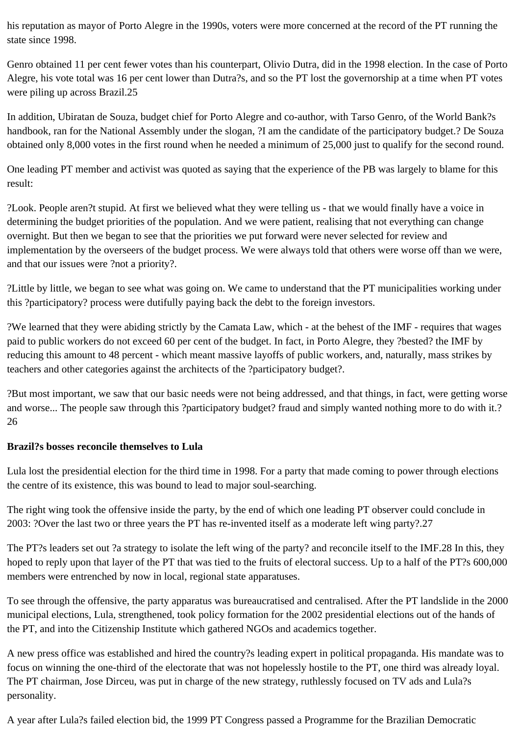his reputation as mayor of Porto Alegre in the 1990s, voters were more concerned at the record of the PT running the state since 1998.

Genro obtained 11 per cent fewer votes than his counterpart, Olivio Dutra, did in the 1998 election. In the case of Porto Alegre, his vote total was 16 per cent lower than Dutra?s, and so the PT lost the governorship at a time when PT votes were piling up across Brazil.25

In addition, Ubiratan de Souza, budget chief for Porto Alegre and co-author, with Tarso Genro, of the World Bank?s handbook, ran for the National Assembly under the slogan, ?I am the candidate of the participatory budget.? De Souza obtained only 8,000 votes in the first round when he needed a minimum of 25,000 just to qualify for the second round.

One leading PT member and activist was quoted as saying that the experience of the PB was largely to blame for this result:

?Look. People aren?t stupid. At first we believed what they were telling us - that we would finally have a voice in determining the budget priorities of the population. And we were patient, realising that not everything can change overnight. But then we began to see that the priorities we put forward were never selected for review and implementation by the overseers of the budget process. We were always told that others were worse off than we were, and that our issues were ?not a priority?.

?Little by little, we began to see what was going on. We came to understand that the PT municipalities working under this ?participatory? process were dutifully paying back the debt to the foreign investors.

?We learned that they were abiding strictly by the Camata Law, which - at the behest of the IMF - requires that wages paid to public workers do not exceed 60 per cent of the budget. In fact, in Porto Alegre, they ?bested? the IMF by reducing this amount to 48 percent - which meant massive layoffs of public workers, and, naturally, mass strikes by teachers and other categories against the architects of the ?participatory budget?.

?But most important, we saw that our basic needs were not being addressed, and that things, in fact, were getting worse and worse... The people saw through this ?participatory budget? fraud and simply wanted nothing more to do with it.? 26

#### **Brazil?s bosses reconcile themselves to Lula**

Lula lost the presidential election for the third time in 1998. For a party that made coming to power through elections the centre of its existence, this was bound to lead to major soul-searching.

The right wing took the offensive inside the party, by the end of which one leading PT observer could conclude in 2003: ?Over the last two or three years the PT has re-invented itself as a moderate left wing party?.27

The PT?s leaders set out ?a strategy to isolate the left wing of the party? and reconcile itself to the IMF.28 In this, they hoped to reply upon that layer of the PT that was tied to the fruits of electoral success. Up to a half of the PT?s 600,000 members were entrenched by now in local, regional state apparatuses.

To see through the offensive, the party apparatus was bureaucratised and centralised. After the PT landslide in the 2000 municipal elections, Lula, strengthened, took policy formation for the 2002 presidential elections out of the hands of the PT, and into the Citizenship Institute which gathered NGOs and academics together.

A new press office was established and hired the country?s leading expert in political propaganda. His mandate was to focus on winning the one-third of the electorate that was not hopelessly hostile to the PT, one third was already loyal. The PT chairman, Jose Dirceu, was put in charge of the new strategy, ruthlessly focused on TV ads and Lula?s personality.

A year after Lula?s failed election bid, the 1999 PT Congress passed a Programme for the Brazilian Democratic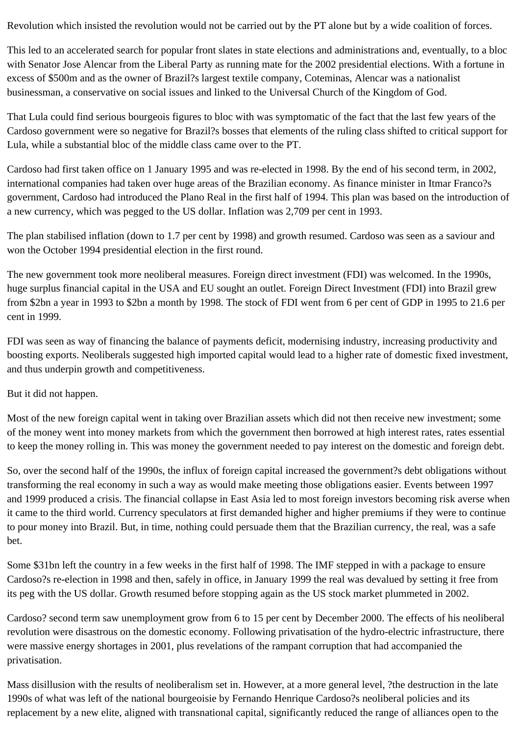Revolution which insisted the revolution would not be carried out by the PT alone but by a wide coalition of forces.

This led to an accelerated search for popular front slates in state elections and administrations and, eventually, to a bloc with Senator Jose Alencar from the Liberal Party as running mate for the 2002 presidential elections. With a fortune in excess of \$500m and as the owner of Brazil?s largest textile company, Coteminas, Alencar was a nationalist businessman, a conservative on social issues and linked to the Universal Church of the Kingdom of God.

That Lula could find serious bourgeois figures to bloc with was symptomatic of the fact that the last few years of the Cardoso government were so negative for Brazil?s bosses that elements of the ruling class shifted to critical support for Lula, while a substantial bloc of the middle class came over to the PT.

Cardoso had first taken office on 1 January 1995 and was re-elected in 1998. By the end of his second term, in 2002, international companies had taken over huge areas of the Brazilian economy. As finance minister in Itmar Franco?s government, Cardoso had introduced the Plano Real in the first half of 1994. This plan was based on the introduction of a new currency, which was pegged to the US dollar. Inflation was 2,709 per cent in 1993.

The plan stabilised inflation (down to 1.7 per cent by 1998) and growth resumed. Cardoso was seen as a saviour and won the October 1994 presidential election in the first round.

The new government took more neoliberal measures. Foreign direct investment (FDI) was welcomed. In the 1990s, huge surplus financial capital in the USA and EU sought an outlet. Foreign Direct Investment (FDI) into Brazil grew from \$2bn a year in 1993 to \$2bn a month by 1998. The stock of FDI went from 6 per cent of GDP in 1995 to 21.6 per cent in 1999.

FDI was seen as way of financing the balance of payments deficit, modernising industry, increasing productivity and boosting exports. Neoliberals suggested high imported capital would lead to a higher rate of domestic fixed investment, and thus underpin growth and competitiveness.

#### But it did not happen.

Most of the new foreign capital went in taking over Brazilian assets which did not then receive new investment; some of the money went into money markets from which the government then borrowed at high interest rates, rates essential to keep the money rolling in. This was money the government needed to pay interest on the domestic and foreign debt.

So, over the second half of the 1990s, the influx of foreign capital increased the government?s debt obligations without transforming the real economy in such a way as would make meeting those obligations easier. Events between 1997 and 1999 produced a crisis. The financial collapse in East Asia led to most foreign investors becoming risk averse when it came to the third world. Currency speculators at first demanded higher and higher premiums if they were to continue to pour money into Brazil. But, in time, nothing could persuade them that the Brazilian currency, the real, was a safe bet.

Some \$31bn left the country in a few weeks in the first half of 1998. The IMF stepped in with a package to ensure Cardoso?s re-election in 1998 and then, safely in office, in January 1999 the real was devalued by setting it free from its peg with the US dollar. Growth resumed before stopping again as the US stock market plummeted in 2002.

Cardoso? second term saw unemployment grow from 6 to 15 per cent by December 2000. The effects of his neoliberal revolution were disastrous on the domestic economy. Following privatisation of the hydro-electric infrastructure, there were massive energy shortages in 2001, plus revelations of the rampant corruption that had accompanied the privatisation.

Mass disillusion with the results of neoliberalism set in. However, at a more general level, ?the destruction in the late 1990s of what was left of the national bourgeoisie by Fernando Henrique Cardoso?s neoliberal policies and its replacement by a new elite, aligned with transnational capital, significantly reduced the range of alliances open to the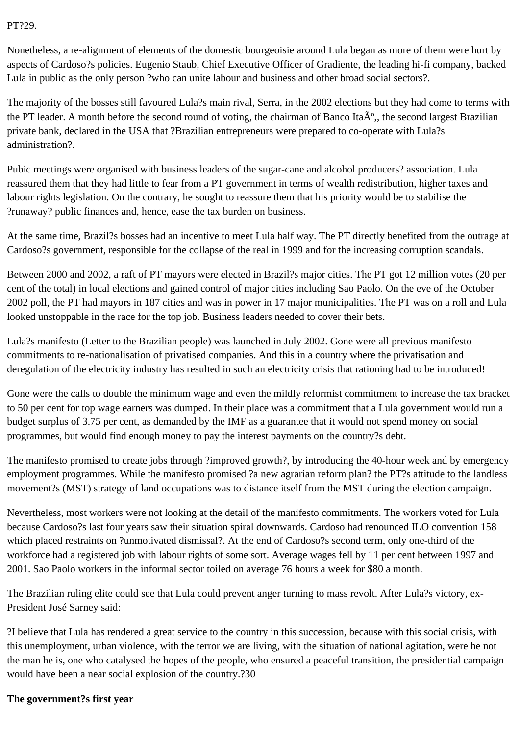#### PT?29.

Nonetheless, a re-alignment of elements of the domestic bourgeoisie around Lula began as more of them were hurt by aspects of Cardoso?s policies. Eugenio Staub, Chief Executive Officer of Gradiente, the leading hi-fi company, backed Lula in public as the only person ?who can unite labour and business and other broad social sectors?.

The majority of the bosses still favoured Lula?s main rival, Serra, in the 2002 elections but they had come to terms with the PT leader. A month before the second round of voting, the chairman of Banco Ita $\mathring{A}^{\circ}$ , the second largest Brazilian private bank, declared in the USA that ?Brazilian entrepreneurs were prepared to co-operate with Lula?s administration?.

Pubic meetings were organised with business leaders of the sugar-cane and alcohol producers? association. Lula reassured them that they had little to fear from a PT government in terms of wealth redistribution, higher taxes and labour rights legislation. On the contrary, he sought to reassure them that his priority would be to stabilise the ?runaway? public finances and, hence, ease the tax burden on business.

At the same time, Brazil?s bosses had an incentive to meet Lula half way. The PT directly benefited from the outrage at Cardoso?s government, responsible for the collapse of the real in 1999 and for the increasing corruption scandals.

Between 2000 and 2002, a raft of PT mayors were elected in Brazil?s major cities. The PT got 12 million votes (20 per cent of the total) in local elections and gained control of major cities including Sao Paolo. On the eve of the October 2002 poll, the PT had mayors in 187 cities and was in power in 17 major municipalities. The PT was on a roll and Lula looked unstoppable in the race for the top job. Business leaders needed to cover their bets.

Lula?s manifesto (Letter to the Brazilian people) was launched in July 2002. Gone were all previous manifesto commitments to re-nationalisation of privatised companies. And this in a country where the privatisation and deregulation of the electricity industry has resulted in such an electricity crisis that rationing had to be introduced!

Gone were the calls to double the minimum wage and even the mildly reformist commitment to increase the tax bracket to 50 per cent for top wage earners was dumped. In their place was a commitment that a Lula government would run a budget surplus of 3.75 per cent, as demanded by the IMF as a guarantee that it would not spend money on social programmes, but would find enough money to pay the interest payments on the country?s debt.

The manifesto promised to create jobs through ?improved growth?, by introducing the 40-hour week and by emergency employment programmes. While the manifesto promised ?a new agrarian reform plan? the PT?s attitude to the landless movement?s (MST) strategy of land occupations was to distance itself from the MST during the election campaign.

Nevertheless, most workers were not looking at the detail of the manifesto commitments. The workers voted for Lula because Cardoso?s last four years saw their situation spiral downwards. Cardoso had renounced ILO convention 158 which placed restraints on ?unmotivated dismissal?. At the end of Cardoso?s second term, only one-third of the workforce had a registered job with labour rights of some sort. Average wages fell by 11 per cent between 1997 and 2001. Sao Paolo workers in the informal sector toiled on average 76 hours a week for \$80 a month.

The Brazilian ruling elite could see that Lula could prevent anger turning to mass revolt. After Lula?s victory, ex-President José Sarney said:

?I believe that Lula has rendered a great service to the country in this succession, because with this social crisis, with this unemployment, urban violence, with the terror we are living, with the situation of national agitation, were he not the man he is, one who catalysed the hopes of the people, who ensured a peaceful transition, the presidential campaign would have been a near social explosion of the country.?30

#### **The government?s first year**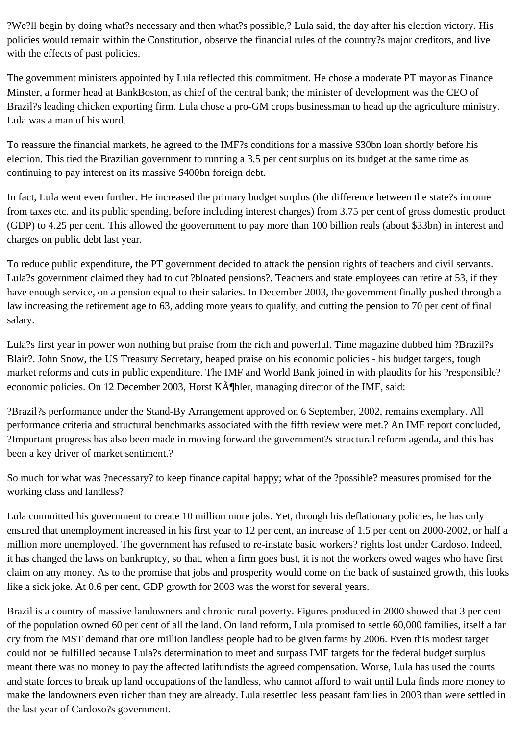?We?ll begin by doing what?s necessary and then what?s possible,? Lula said, the day after his election victory. His policies would remain within the Constitution, observe the financial rules of the country?s major creditors, and live with the effects of past policies.

The government ministers appointed by Lula reflected this commitment. He chose a moderate PT mayor as Finance Minster, a former head at BankBoston, as chief of the central bank; the minister of development was the CEO of Brazil?s leading chicken exporting firm. Lula chose a pro-GM crops businessman to head up the agriculture ministry. Lula was a man of his word.

To reassure the financial markets, he agreed to the IMF?s conditions for a massive \$30bn loan shortly before his election. This tied the Brazilian government to running a 3.5 per cent surplus on its budget at the same time as continuing to pay interest on its massive \$400bn foreign debt.

In fact, Lula went even further. He increased the primary budget surplus (the difference between the state?s income from taxes etc. and its public spending, before including interest charges) from 3.75 per cent of gross domestic product (GDP) to 4.25 per cent. This allowed the goovernment to pay more than 100 billion reals (about \$33bn) in interest and charges on public debt last year.

To reduce public expenditure, the PT government decided to attack the pension rights of teachers and civil servants. Lula?s government claimed they had to cut ?bloated pensions?. Teachers and state employees can retire at 53, if they have enough service, on a pension equal to their salaries. In December 2003, the government finally pushed through a law increasing the retirement age to 63, adding more years to qualify, and cutting the pension to 70 per cent of final salary.

Lula?s first year in power won nothing but praise from the rich and powerful. Time magazine dubbed him ?Brazil?s Blair?. John Snow, the US Treasury Secretary, heaped praise on his economic policies - his budget targets, tough market reforms and cuts in public expenditure. The IMF and World Bank joined in with plaudits for his ?responsible? economic policies. On 12 December 2003, Horst KĶhler, managing director of the IMF, said:

?Brazil?s performance under the Stand-By Arrangement approved on 6 September, 2002, remains exemplary. All performance criteria and structural benchmarks associated with the fifth review were met.? An IMF report concluded, ?Important progress has also been made in moving forward the government?s structural reform agenda, and this has been a key driver of market sentiment.?

So much for what was ?necessary? to keep finance capital happy; what of the ?possible? measures promised for the working class and landless?

Lula committed his government to create 10 million more jobs. Yet, through his deflationary policies, he has only ensured that unemployment increased in his first year to 12 per cent, an increase of 1.5 per cent on 2000-2002, or half a million more unemployed. The government has refused to re-instate basic workers? rights lost under Cardoso. Indeed, it has changed the laws on bankruptcy, so that, when a firm goes bust, it is not the workers owed wages who have first claim on any money. As to the promise that jobs and prosperity would come on the back of sustained growth, this looks like a sick joke. At 0.6 per cent, GDP growth for 2003 was the worst for several years.

Brazil is a country of massive landowners and chronic rural poverty. Figures produced in 2000 showed that 3 per cent of the population owned 60 per cent of all the land. On land reform, Lula promised to settle 60,000 families, itself a far cry from the MST demand that one million landless people had to be given farms by 2006. Even this modest target could not be fulfilled because Lula?s determination to meet and surpass IMF targets for the federal budget surplus meant there was no money to pay the affected latifundists the agreed compensation. Worse, Lula has used the courts and state forces to break up land occupations of the landless, who cannot afford to wait until Lula finds more money to make the landowners even richer than they are already. Lula resettled less peasant families in 2003 than were settled in the last year of Cardoso?s government.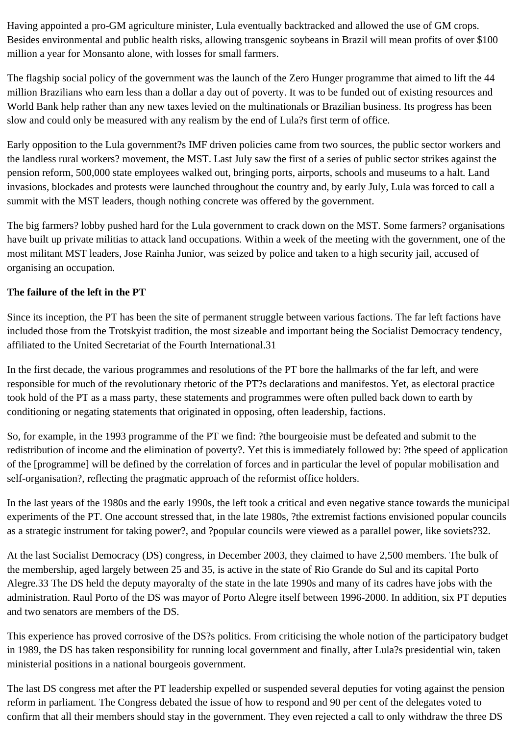Having appointed a pro-GM agriculture minister, Lula eventually backtracked and allowed the use of GM crops. Besides environmental and public health risks, allowing transgenic soybeans in Brazil will mean profits of over \$100 million a year for Monsanto alone, with losses for small farmers.

The flagship social policy of the government was the launch of the Zero Hunger programme that aimed to lift the 44 million Brazilians who earn less than a dollar a day out of poverty. It was to be funded out of existing resources and World Bank help rather than any new taxes levied on the multinationals or Brazilian business. Its progress has been slow and could only be measured with any realism by the end of Lula?s first term of office.

Early opposition to the Lula government?s IMF driven policies came from two sources, the public sector workers and the landless rural workers? movement, the MST. Last July saw the first of a series of public sector strikes against the pension reform, 500,000 state employees walked out, bringing ports, airports, schools and museums to a halt. Land invasions, blockades and protests were launched throughout the country and, by early July, Lula was forced to call a summit with the MST leaders, though nothing concrete was offered by the government.

The big farmers? lobby pushed hard for the Lula government to crack down on the MST. Some farmers? organisations have built up private militias to attack land occupations. Within a week of the meeting with the government, one of the most militant MST leaders, Jose Rainha Junior, was seized by police and taken to a high security jail, accused of organising an occupation.

## **The failure of the left in the PT**

Since its inception, the PT has been the site of permanent struggle between various factions. The far left factions have included those from the Trotskyist tradition, the most sizeable and important being the Socialist Democracy tendency, affiliated to the United Secretariat of the Fourth International.31

In the first decade, the various programmes and resolutions of the PT bore the hallmarks of the far left, and were responsible for much of the revolutionary rhetoric of the PT?s declarations and manifestos. Yet, as electoral practice took hold of the PT as a mass party, these statements and programmes were often pulled back down to earth by conditioning or negating statements that originated in opposing, often leadership, factions.

So, for example, in the 1993 programme of the PT we find: ?the bourgeoisie must be defeated and submit to the redistribution of income and the elimination of poverty?. Yet this is immediately followed by: ?the speed of application of the [programme] will be defined by the correlation of forces and in particular the level of popular mobilisation and self-organisation?, reflecting the pragmatic approach of the reformist office holders.

In the last years of the 1980s and the early 1990s, the left took a critical and even negative stance towards the municipal experiments of the PT. One account stressed that, in the late 1980s, ?the extremist factions envisioned popular councils as a strategic instrument for taking power?, and ?popular councils were viewed as a parallel power, like soviets?32.

At the last Socialist Democracy (DS) congress, in December 2003, they claimed to have 2,500 members. The bulk of the membership, aged largely between 25 and 35, is active in the state of Rio Grande do Sul and its capital Porto Alegre.33 The DS held the deputy mayoralty of the state in the late 1990s and many of its cadres have jobs with the administration. Raul Porto of the DS was mayor of Porto Alegre itself between 1996-2000. In addition, six PT deputies and two senators are members of the DS.

This experience has proved corrosive of the DS?s politics. From criticising the whole notion of the participatory budget in 1989, the DS has taken responsibility for running local government and finally, after Lula?s presidential win, taken ministerial positions in a national bourgeois government.

The last DS congress met after the PT leadership expelled or suspended several deputies for voting against the pension reform in parliament. The Congress debated the issue of how to respond and 90 per cent of the delegates voted to confirm that all their members should stay in the government. They even rejected a call to only withdraw the three DS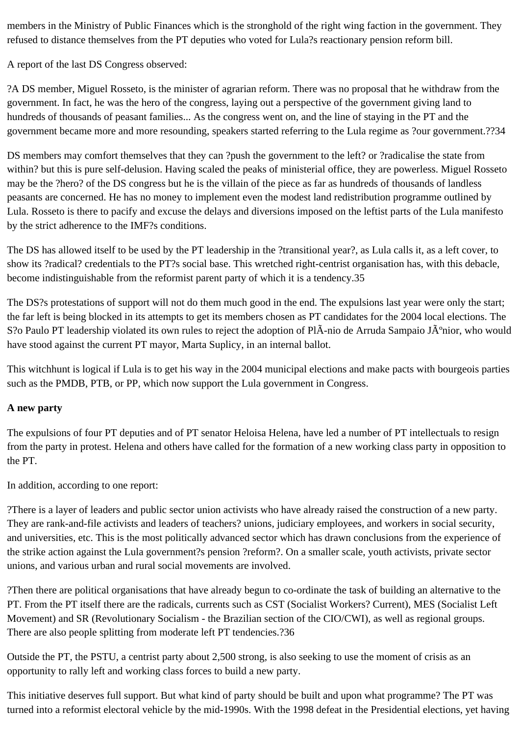members in the Ministry of Public Finances which is the stronghold of the right wing faction in the government. They refused to distance themselves from the PT deputies who voted for Lula?s reactionary pension reform bill.

A report of the last DS Congress observed:

?A DS member, Miguel Rosseto, is the minister of agrarian reform. There was no proposal that he withdraw from the government. In fact, he was the hero of the congress, laying out a perspective of the government giving land to hundreds of thousands of peasant families... As the congress went on, and the line of staying in the PT and the government became more and more resounding, speakers started referring to the Lula regime as ?our government.??34

DS members may comfort themselves that they can ?push the government to the left? or ?radicalise the state from within? but this is pure self-delusion. Having scaled the peaks of ministerial office, they are powerless. Miguel Rosseto may be the ?hero? of the DS congress but he is the villain of the piece as far as hundreds of thousands of landless peasants are concerned. He has no money to implement even the modest land redistribution programme outlined by Lula. Rosseto is there to pacify and excuse the delays and diversions imposed on the leftist parts of the Lula manifesto by the strict adherence to the IMF?s conditions.

The DS has allowed itself to be used by the PT leadership in the ?transitional year?, as Lula calls it, as a left cover, to show its ?radical? credentials to the PT?s social base. This wretched right-centrist organisation has, with this debacle, become indistinguishable from the reformist parent party of which it is a tendency.35

The DS?s protestations of support will not do them much good in the end. The expulsions last year were only the start; the far left is being blocked in its attempts to get its members chosen as PT candidates for the 2004 local elections. The S?o Paulo PT leadership violated its own rules to reject the adoption of PlÂ-nio de Arruda Sampaio Jðnior, who would have stood against the current PT mayor, Marta Suplicy, in an internal ballot.

This witchhunt is logical if Lula is to get his way in the 2004 municipal elections and make pacts with bourgeois parties such as the PMDB, PTB, or PP, which now support the Lula government in Congress.

# **A new party**

The expulsions of four PT deputies and of PT senator Heloisa Helena, have led a number of PT intellectuals to resign from the party in protest. Helena and others have called for the formation of a new working class party in opposition to the PT.

In addition, according to one report:

?There is a layer of leaders and public sector union activists who have already raised the construction of a new party. They are rank-and-file activists and leaders of teachers? unions, judiciary employees, and workers in social security, and universities, etc. This is the most politically advanced sector which has drawn conclusions from the experience of the strike action against the Lula government?s pension ?reform?. On a smaller scale, youth activists, private sector unions, and various urban and rural social movements are involved.

?Then there are political organisations that have already begun to co-ordinate the task of building an alternative to the PT. From the PT itself there are the radicals, currents such as CST (Socialist Workers? Current), MES (Socialist Left Movement) and SR (Revolutionary Socialism - the Brazilian section of the CIO/CWI), as well as regional groups. There are also people splitting from moderate left PT tendencies.?36

Outside the PT, the PSTU, a centrist party about 2,500 strong, is also seeking to use the moment of crisis as an opportunity to rally left and working class forces to build a new party.

This initiative deserves full support. But what kind of party should be built and upon what programme? The PT was turned into a reformist electoral vehicle by the mid-1990s. With the 1998 defeat in the Presidential elections, yet having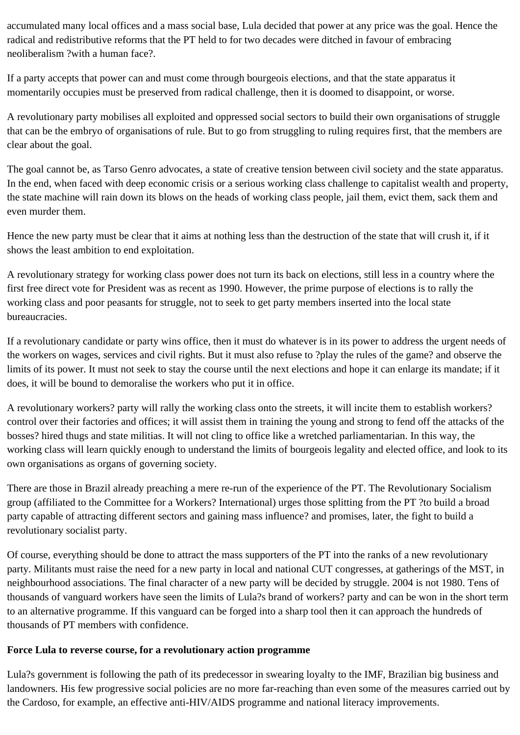accumulated many local offices and a mass social base, Lula decided that power at any price was the goal. Hence the radical and redistributive reforms that the PT held to for two decades were ditched in favour of embracing neoliberalism ?with a human face?.

If a party accepts that power can and must come through bourgeois elections, and that the state apparatus it momentarily occupies must be preserved from radical challenge, then it is doomed to disappoint, or worse.

A revolutionary party mobilises all exploited and oppressed social sectors to build their own organisations of struggle that can be the embryo of organisations of rule. But to go from struggling to ruling requires first, that the members are clear about the goal.

The goal cannot be, as Tarso Genro advocates, a state of creative tension between civil society and the state apparatus. In the end, when faced with deep economic crisis or a serious working class challenge to capitalist wealth and property, the state machine will rain down its blows on the heads of working class people, jail them, evict them, sack them and even murder them.

Hence the new party must be clear that it aims at nothing less than the destruction of the state that will crush it, if it shows the least ambition to end exploitation.

A revolutionary strategy for working class power does not turn its back on elections, still less in a country where the first free direct vote for President was as recent as 1990. However, the prime purpose of elections is to rally the working class and poor peasants for struggle, not to seek to get party members inserted into the local state bureaucracies.

If a revolutionary candidate or party wins office, then it must do whatever is in its power to address the urgent needs of the workers on wages, services and civil rights. But it must also refuse to ?play the rules of the game? and observe the limits of its power. It must not seek to stay the course until the next elections and hope it can enlarge its mandate; if it does, it will be bound to demoralise the workers who put it in office.

A revolutionary workers? party will rally the working class onto the streets, it will incite them to establish workers? control over their factories and offices; it will assist them in training the young and strong to fend off the attacks of the bosses? hired thugs and state militias. It will not cling to office like a wretched parliamentarian. In this way, the working class will learn quickly enough to understand the limits of bourgeois legality and elected office, and look to its own organisations as organs of governing society.

There are those in Brazil already preaching a mere re-run of the experience of the PT. The Revolutionary Socialism group (affiliated to the Committee for a Workers? International) urges those splitting from the PT ?to build a broad party capable of attracting different sectors and gaining mass influence? and promises, later, the fight to build a revolutionary socialist party.

Of course, everything should be done to attract the mass supporters of the PT into the ranks of a new revolutionary party. Militants must raise the need for a new party in local and national CUT congresses, at gatherings of the MST, in neighbourhood associations. The final character of a new party will be decided by struggle. 2004 is not 1980. Tens of thousands of vanguard workers have seen the limits of Lula?s brand of workers? party and can be won in the short term to an alternative programme. If this vanguard can be forged into a sharp tool then it can approach the hundreds of thousands of PT members with confidence.

#### **Force Lula to reverse course, for a revolutionary action programme**

Lula?s government is following the path of its predecessor in swearing loyalty to the IMF, Brazilian big business and landowners. His few progressive social policies are no more far-reaching than even some of the measures carried out by the Cardoso, for example, an effective anti-HIV/AIDS programme and national literacy improvements.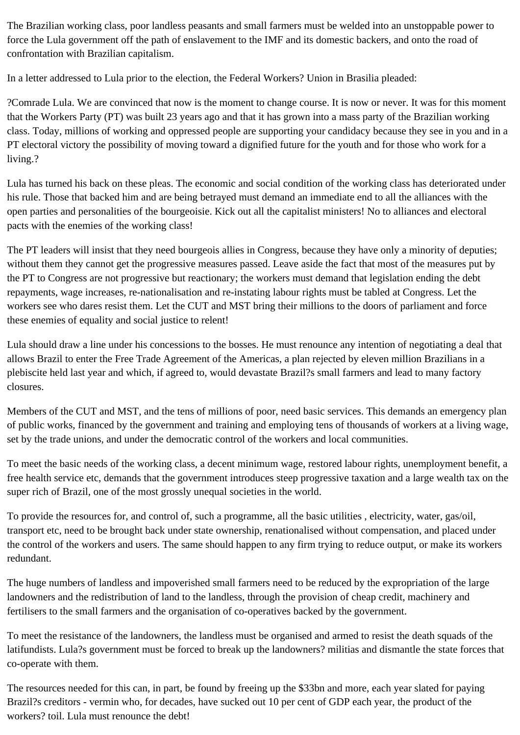The Brazilian working class, poor landless peasants and small farmers must be welded into an unstoppable power to force the Lula government off the path of enslavement to the IMF and its domestic backers, and onto the road of confrontation with Brazilian capitalism.

In a letter addressed to Lula prior to the election, the Federal Workers? Union in Brasilia pleaded:

?Comrade Lula. We are convinced that now is the moment to change course. It is now or never. It was for this moment that the Workers Party (PT) was built 23 years ago and that it has grown into a mass party of the Brazilian working class. Today, millions of working and oppressed people are supporting your candidacy because they see in you and in a PT electoral victory the possibility of moving toward a dignified future for the youth and for those who work for a living.?

Lula has turned his back on these pleas. The economic and social condition of the working class has deteriorated under his rule. Those that backed him and are being betrayed must demand an immediate end to all the alliances with the open parties and personalities of the bourgeoisie. Kick out all the capitalist ministers! No to alliances and electoral pacts with the enemies of the working class!

The PT leaders will insist that they need bourgeois allies in Congress, because they have only a minority of deputies; without them they cannot get the progressive measures passed. Leave aside the fact that most of the measures put by the PT to Congress are not progressive but reactionary; the workers must demand that legislation ending the debt repayments, wage increases, re-nationalisation and re-instating labour rights must be tabled at Congress. Let the workers see who dares resist them. Let the CUT and MST bring their millions to the doors of parliament and force these enemies of equality and social justice to relent!

Lula should draw a line under his concessions to the bosses. He must renounce any intention of negotiating a deal that allows Brazil to enter the Free Trade Agreement of the Americas, a plan rejected by eleven million Brazilians in a plebiscite held last year and which, if agreed to, would devastate Brazil?s small farmers and lead to many factory closures.

Members of the CUT and MST, and the tens of millions of poor, need basic services. This demands an emergency plan of public works, financed by the government and training and employing tens of thousands of workers at a living wage, set by the trade unions, and under the democratic control of the workers and local communities.

To meet the basic needs of the working class, a decent minimum wage, restored labour rights, unemployment benefit, a free health service etc, demands that the government introduces steep progressive taxation and a large wealth tax on the super rich of Brazil, one of the most grossly unequal societies in the world.

To provide the resources for, and control of, such a programme, all the basic utilities , electricity, water, gas/oil, transport etc, need to be brought back under state ownership, renationalised without compensation, and placed under the control of the workers and users. The same should happen to any firm trying to reduce output, or make its workers redundant.

The huge numbers of landless and impoverished small farmers need to be reduced by the expropriation of the large landowners and the redistribution of land to the landless, through the provision of cheap credit, machinery and fertilisers to the small farmers and the organisation of co-operatives backed by the government.

To meet the resistance of the landowners, the landless must be organised and armed to resist the death squads of the latifundists. Lula?s government must be forced to break up the landowners? militias and dismantle the state forces that co-operate with them.

The resources needed for this can, in part, be found by freeing up the \$33bn and more, each year slated for paying Brazil?s creditors - vermin who, for decades, have sucked out 10 per cent of GDP each year, the product of the workers? toil. Lula must renounce the debt!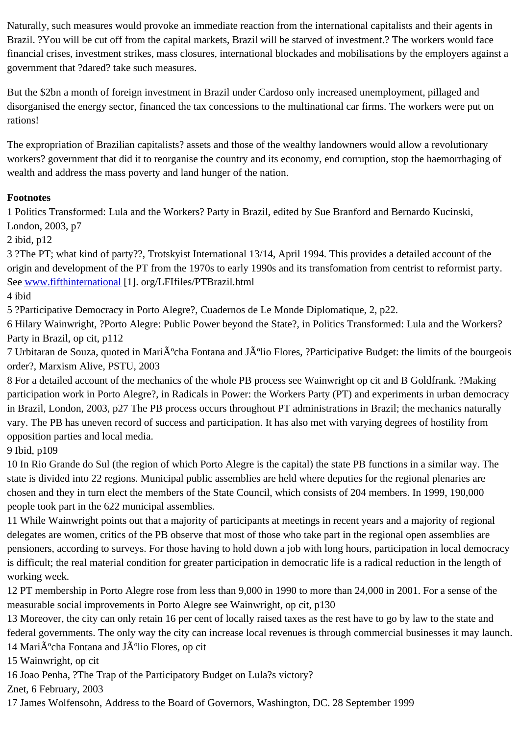$B$ razil.  $B$ razil will be started of investment. Brazil will be started of investment. The workers would face financial crises, investment strikes, mass closures, international blockades and mobilisations by the employers aga government that ?dared? take such measures.

But the \$2bn a month of foreign investment in Brazil under Cardoso only increased unemployment, pillaged and disorganised the energy sector, financed the tax concessions to the multinational car firms. The workers were put rations!

The expropriation of Brazilian capitalists? assets and those of the wealthy landowners would allow a revolutionary workers? government that did it to reorganise the country and its economy, end corruption, stop the haemorrhagin wealth and address the mass poverty and land hunger of the nation.

# **Footnotes**

1 Politics Transformed: Lula and the Workers? Party in Brazil, edited by Sue Branford and Bernardo Kucinski, London, 2003, p7

2 ibid, p12

3 ?The PT; what kind of party??, Trotskyist International 13/14, April 1994. This provides a detailed account of the origin and development of the PT from the 1970s to early 1990s and its transfomation from centrist to reformist pa Seewww.fifthinternational<sup>[1]</sup>. org/LFIfiles/PTBrazil.html

4 ibid

5 ?Participative Democracy in Porto Alegre?, Cuadernos de Le Monde Diplomatique, 2, p22.

6 H[ilary Wainwright, ?Po](http://www.fifthinternational)rto Alegre: Public Power beyond the State?, in Politics Transformed: Lula and the Worker Party in Brazil, op cit, p112

7 Urbitaran de Souza, quoted in Mariúcha Fontana and Júlio Flores, ?Participative Budget: the limits of the bour order?, Marxism Alive, PSTU, 2003

8 For a detailed account of the mechanics of the whole PB process see Wainwright op cit and B Goldfrank. ?Makin participation work in Porto Alegre?, in Radicals in Power: the Workers Party (PT) and experiments in urban democ in Brazil, London, 2003, p27 The PB process occurs throughout PT administrations in Brazil; the mechanics natura vary. The PB has uneven record of success and participation. It has also met with varying degrees of hostility from opposition parties and local media.

9 Ibid, p109

10 In Rio Grande do Sul (the region of which Porto Alegre is the capital) the state PB functions in a similar way. Th state is divided into 22 regions. Municipal public assemblies are held where deputies for the regional plenaries are chosen and they in turn elect the members of the State Council, which consists of 204 members. In 1999, 190,000 people took part in the 622 municipal assemblies.

11 While Wainwright points out that a majority of participants at meetings in recent years and a majority of regiona delegates are women, critics of the PB observe that most of those who take part in the regional open assemblies a pensioners, according to surveys. For those having to hold down a job with long hours, participation in local demo is difficult; the real material condition for greater participation in democratic life is a radical reduction in the length o working week.

12 PT membership in Porto Alegre rose from less than 9,000 in 1990 to more than 24,000 in 2001. For a sense of measurable social improvements in Porto Alegre see Wainwright, op cit, p130

13 Moreover, the city can only retain 16 per cent of locally raised taxes as the rest have to go by law to the state a federal governments. The only way the city can increase local revenues is through commercial businesses it may 14 MariA<sup>o</sup>cha Fontana and JA<sup>o</sup>lio Flores, op cit

15 Wainwright, op cit

16 Joao Penha, ?The Trap of the Participatory Budget on Lula?s victory?

Znet, 6 February, 2003

17 James Wolfensohn, Address to the Board of Governors, Washington, DC. 28 September 1999